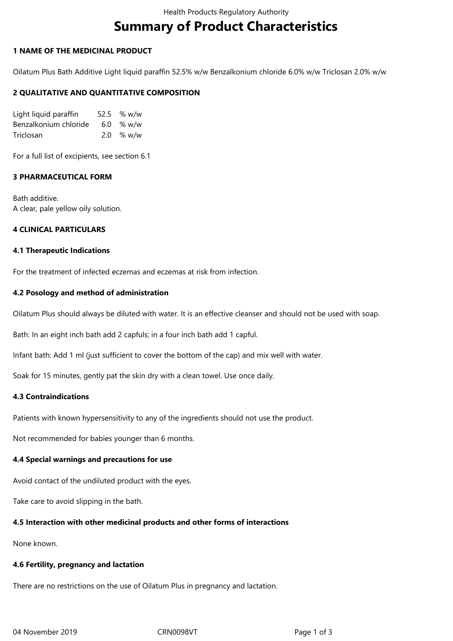# **Summary of Product Characteristics**

# **1 NAME OF THE MEDICINAL PRODUCT**

Oilatum Plus Bath Additive Light liquid paraffin 52.5% w/w Benzalkonium chloride 6.0% w/w Triclosan 2.0% w/w

# **2 QUALITATIVE AND QUANTITATIVE COMPOSITION**

| Light liquid paraffin | 52.5 % w/w  |
|-----------------------|-------------|
| Benzalkonium chloride | $6.0\%$ w/w |
| Triclosan             | $2.0\%$ w/w |

For a full list of excipients, see section 6.1

# **3 PHARMACEUTICAL FORM**

Bath additive. A clear, pale yellow oily solution.

# **4 CLINICAL PARTICULARS**

#### **4.1 Therapeutic Indications**

For the treatment of infected eczemas and eczemas at risk from infection.

# **4.2 Posology and method of administration**

Oilatum Plus should always be diluted with water. It is an effective cleanser and should not be used with soap.

Bath: In an eight inch bath add 2 capfuls; in a four inch bath add 1 capful.

Infant bath: Add 1 ml (just sufficient to cover the bottom of the cap) and mix well with water.

Soak for 15 minutes, gently pat the skin dry with a clean towel. Use once daily.

# **4.3 Contraindications**

Patients with known hypersensitivity to any of the ingredients should not use the product.

Not recommended for babies younger than 6 months.

# **4.4 Special warnings and precautions for use**

Avoid contact of the undiluted product with the eyes.

Take care to avoid slipping in the bath.

# **4.5 Interaction with other medicinal products and other forms of interactions**

None known.

# **4.6 Fertility, pregnancy and lactation**

There are no restrictions on the use of Oilatum Plus in pregnancy and lactation.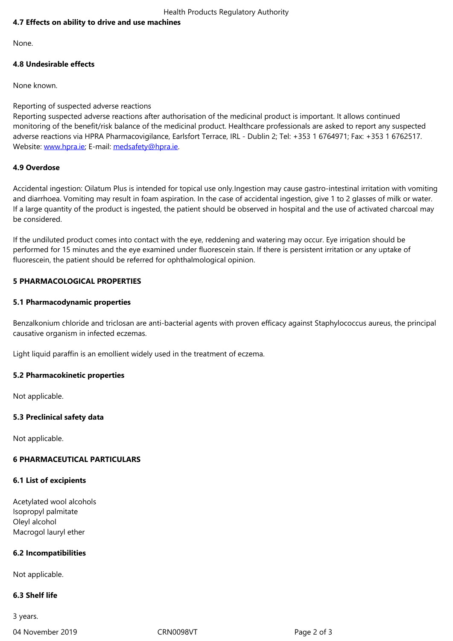None.

# **4.8 Undesirable effects**

None known.

#### Reporting of suspected adverse reactions

Reporting suspected adverse reactions after authorisation of the medicinal product is important. It allows continued monitoring of the benefit/risk balance of the medicinal product. Healthcare professionals are asked to report any suspected adverse reactions via HPRA Pharmacovigilance, Earlsfort Terrace, IRL - Dublin 2; Tel: +353 1 6764971; Fax: +353 1 6762517. Website: www.hpra.ie; E-mail: medsafety@hpra.ie.

# **4.9 Overdose**

Accident[al ingestion: O](http://www.hpra.ie/)ilatum [Plus is intended for](mailto:medsafety@hpra.ie) topical use only.Ingestion may cause gastro-intestinal irritation with vomiting and diarrhoea. Vomiting may result in foam aspiration. In the case of accidental ingestion, give 1 to 2 glasses of milk or water. If a large quantity of the product is ingested, the patient should be observed in hospital and the use of activated charcoal may be considered.

If the undiluted product comes into contact with the eye, reddening and watering may occur. Eye irrigation should be performed for 15 minutes and the eye examined under fluorescein stain. If there is persistent irritation or any uptake of fluorescein, the patient should be referred for ophthalmological opinion.

# **5 PHARMACOLOGICAL PROPERTIES**

#### **5.1 Pharmacodynamic properties**

Benzalkonium chloride and triclosan are anti-bacterial agents with proven efficacy against Staphylococcus aureus, the principal causative organism in infected eczemas.

Light liquid paraffin is an emollient widely used in the treatment of eczema.

#### **5.2 Pharmacokinetic properties**

Not applicable.

# **5.3 Preclinical safety data**

Not applicable.

# **6 PHARMACEUTICAL PARTICULARS**

#### **6.1 List of excipients**

Acetylated wool alcohols Isopropyl palmitate Oleyl alcohol Macrogol lauryl ether

# **6.2 Incompatibilities**

Not applicable.

# **6.3 Shelf life**

3 years.

04 November 2019 **CRN0098VT** CRN0098VT